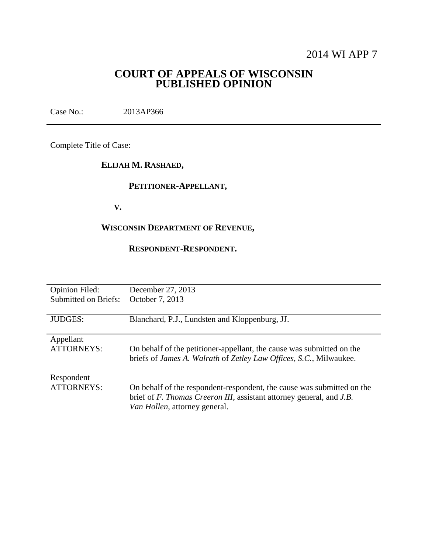# 2014 WI APP 7

## **COURT OF APPEALS OF WISCONSIN PUBLISHED OPINION**

Case No.: 2013AP366

Complete Title of Case:

## **ELIJAH M. RASHAED,**

## **PETITIONER-APPELLANT,**

 **V.**

## **WISCONSIN DEPARTMENT OF REVENUE,**

## **RESPONDENT-RESPONDENT.**

| <b>Opinion Filed:</b>           | December 27, 2013                                                                                                                                                               |
|---------------------------------|---------------------------------------------------------------------------------------------------------------------------------------------------------------------------------|
| Submitted on Briefs:            | October 7, 2013                                                                                                                                                                 |
| <b>JUDGES:</b>                  | Blanchard, P.J., Lundsten and Kloppenburg, JJ.                                                                                                                                  |
| Appellant                       | On behalf of the petitioner-appellant, the cause was submitted on the                                                                                                           |
| <b>ATTORNEYS:</b>               | briefs of James A. Walrath of Zetley Law Offices, S.C., Milwaukee.                                                                                                              |
| Respondent<br><b>ATTORNEYS:</b> | On behalf of the respondent-respondent, the cause was submitted on the<br>brief of F. Thomas Creeron III, assistant attorney general, and J.B.<br>Van Hollen, attorney general. |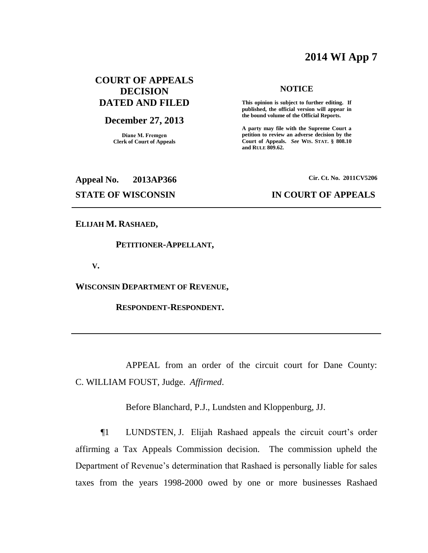# **2014 WI App 7**

## **COURT OF APPEALS DECISION DATED AND FILED**

### **December 27, 2013**

**Diane M. Fremgen Clerk of Court of Appeals**

#### **NOTICE**

**This opinion is subject to further editing. If published, the official version will appear in the bound volume of the Official Reports.** 

**A party may file with the Supreme Court a petition to review an adverse decision by the Court of Appeals.** *See* **WIS. STAT. § 808.10 and RULE 809.62.** 

**Appeal No. 2013AP366 Cir. Ct. No. 2011CV5206**

#### **STATE OF WISCONSIN IN COURT OF APPEALS**

#### **ELIJAH M. RASHAED,**

#### **PETITIONER-APPELLANT,**

 **V.**

**WISCONSIN DEPARTMENT OF REVENUE,**

 **RESPONDENT-RESPONDENT.**

APPEAL from an order of the circuit court for Dane County: C. WILLIAM FOUST, Judge. *Affirmed*.

Before Blanchard, P.J., Lundsten and Kloppenburg, JJ.

¶1 LUNDSTEN, J. Elijah Rashaed appeals the circuit court's order affirming a Tax Appeals Commission decision. The commission upheld the Department of Revenue's determination that Rashaed is personally liable for sales taxes from the years 1998-2000 owed by one or more businesses Rashaed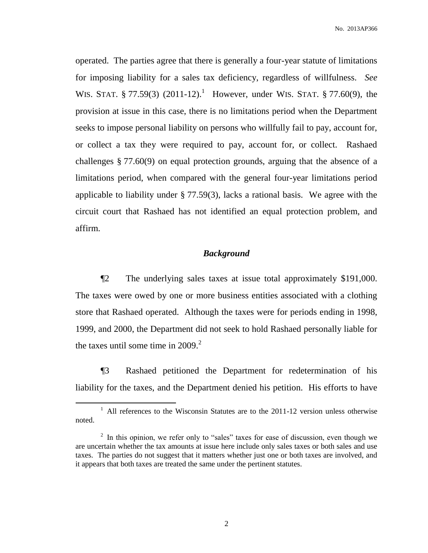operated. The parties agree that there is generally a four-year statute of limitations for imposing liability for a sales tax deficiency, regardless of willfulness. *See* WIS. STAT.  $\S 77.59(3)$  (2011-12).<sup>1</sup> However, under WIS. STAT.  $\S 77.60(9)$ , the provision at issue in this case, there is no limitations period when the Department seeks to impose personal liability on persons who willfully fail to pay, account for, or collect a tax they were required to pay, account for, or collect. Rashaed challenges § 77.60(9) on equal protection grounds, arguing that the absence of a limitations period, when compared with the general four-year limitations period applicable to liability under § 77.59(3), lacks a rational basis. We agree with the circuit court that Rashaed has not identified an equal protection problem, and affirm.

#### *Background*

¶2 The underlying sales taxes at issue total approximately \$191,000. The taxes were owed by one or more business entities associated with a clothing store that Rashaed operated. Although the taxes were for periods ending in 1998, 1999, and 2000, the Department did not seek to hold Rashaed personally liable for the taxes until some time in  $2009<sup>2</sup>$ .

¶3 Rashaed petitioned the Department for redetermination of his liability for the taxes, and the Department denied his petition. His efforts to have

<sup>&</sup>lt;sup>1</sup> All references to the Wisconsin Statutes are to the 2011-12 version unless otherwise noted.

 $2\;\;$  In this opinion, we refer only to "sales" taxes for ease of discussion, even though we are uncertain whether the tax amounts at issue here include only sales taxes or both sales and use taxes. The parties do not suggest that it matters whether just one or both taxes are involved, and it appears that both taxes are treated the same under the pertinent statutes.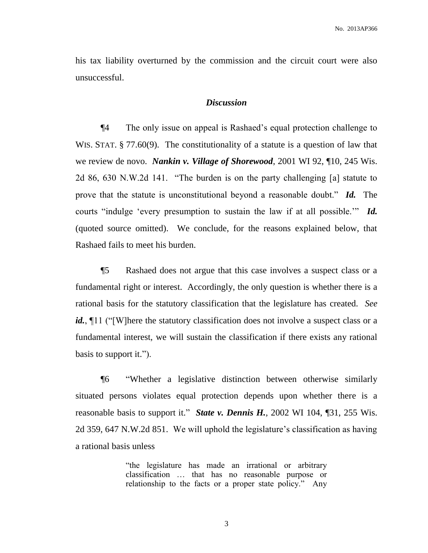his tax liability overturned by the commission and the circuit court were also unsuccessful.

#### *Discussion*

¶4 The only issue on appeal is Rashaed's equal protection challenge to WIS. STAT. § 77.60(9). The constitutionality of a statute is a question of law that we review de novo. *Nankin v. Village of Shorewood*, 2001 WI 92, ¶10, 245 Wis. 2d 86, 630 N.W.2d 141. "The burden is on the party challenging [a] statute to prove that the statute is unconstitutional beyond a reasonable doubt." *Id.* The courts "indulge 'every presumption to sustain the law if at all possible.'" *Id.* (quoted source omitted). We conclude, for the reasons explained below, that Rashaed fails to meet his burden.

¶5 Rashaed does not argue that this case involves a suspect class or a fundamental right or interest. Accordingly, the only question is whether there is a rational basis for the statutory classification that the legislature has created. *See id.*, 11 ("Where the statutory classification does not involve a suspect class or a fundamental interest, we will sustain the classification if there exists any rational basis to support it.").

¶6 "Whether a legislative distinction between otherwise similarly situated persons violates equal protection depends upon whether there is a reasonable basis to support it." *State v. Dennis H.*, 2002 WI 104, ¶31, 255 Wis. 2d 359, 647 N.W.2d 851. We will uphold the legislature's classification as having a rational basis unless

> "the legislature has made an irrational or arbitrary classification … that has no reasonable purpose or relationship to the facts or a proper state policy." Any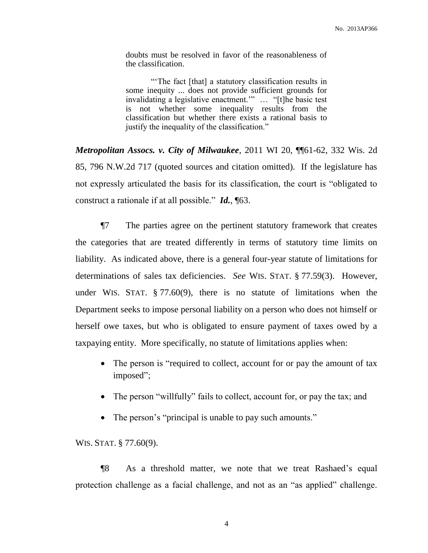doubts must be resolved in favor of the reasonableness of the classification.

"'The fact [that] a statutory classification results in some inequity ... does not provide sufficient grounds for invalidating a legislative enactment.'" … "[t]he basic test is not whether some inequality results from the classification but whether there exists a rational basis to justify the inequality of the classification."

*Metropolitan Assocs. v. City of Milwaukee*, 2011 WI 20, ¶¶61-62, 332 Wis. 2d 85, 796 N.W.2d 717 (quoted sources and citation omitted). If the legislature has not expressly articulated the basis for its classification, the court is "obligated to construct a rationale if at all possible." *Id.*, ¶63.

¶7 The parties agree on the pertinent statutory framework that creates the categories that are treated differently in terms of statutory time limits on liability. As indicated above, there is a general four-year statute of limitations for determinations of sales tax deficiencies. *See* WIS. STAT. § 77.59(3). However, under WIS. STAT. § 77.60(9), there is no statute of limitations when the Department seeks to impose personal liability on a person who does not himself or herself owe taxes, but who is obligated to ensure payment of taxes owed by a taxpaying entity. More specifically, no statute of limitations applies when:

- The person is "required to collect, account for or pay the amount of tax imposed";
- The person "willfully" fails to collect, account for, or pay the tax; and
- The person's "principal is unable to pay such amounts."

#### WIS. STAT. § 77.60(9).

¶8 As a threshold matter, we note that we treat Rashaed's equal protection challenge as a facial challenge, and not as an "as applied" challenge.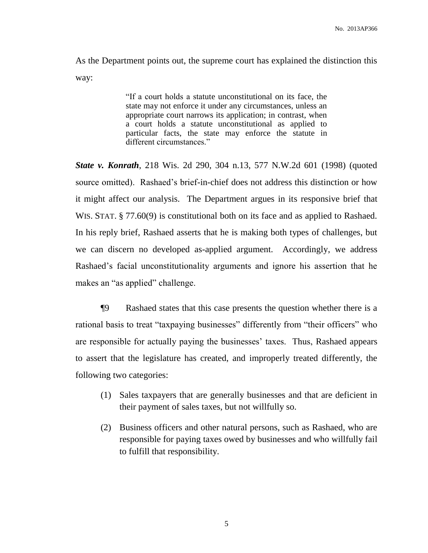As the Department points out, the supreme court has explained the distinction this way:

> "If a court holds a statute unconstitutional on its face, the state may not enforce it under any circumstances, unless an appropriate court narrows its application; in contrast, when a court holds a statute unconstitutional as applied to particular facts, the state may enforce the statute in different circumstances."

*State v. Konrath*, 218 Wis. 2d 290, 304 n.13, 577 N.W.2d 601 (1998) (quoted source omitted). Rashaed's brief-in-chief does not address this distinction or how it might affect our analysis. The Department argues in its responsive brief that WIS. STAT. § 77.60(9) is constitutional both on its face and as applied to Rashaed. In his reply brief, Rashaed asserts that he is making both types of challenges, but we can discern no developed as-applied argument. Accordingly, we address Rashaed's facial unconstitutionality arguments and ignore his assertion that he makes an "as applied" challenge.

¶9 Rashaed states that this case presents the question whether there is a rational basis to treat "taxpaying businesses" differently from "their officers" who are responsible for actually paying the businesses' taxes. Thus, Rashaed appears to assert that the legislature has created, and improperly treated differently, the following two categories:

- (1) Sales taxpayers that are generally businesses and that are deficient in their payment of sales taxes, but not willfully so.
- (2) Business officers and other natural persons, such as Rashaed, who are responsible for paying taxes owed by businesses and who willfully fail to fulfill that responsibility.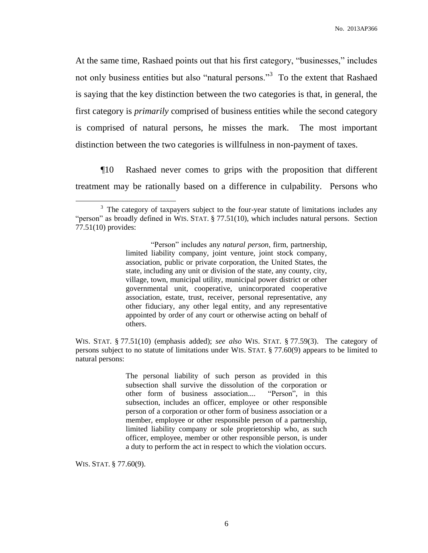At the same time, Rashaed points out that his first category, "businesses," includes not only business entities but also "natural persons."<sup>3</sup> To the extent that Rashaed is saying that the key distinction between the two categories is that, in general, the first category is *primarily* comprised of business entities while the second category is comprised of natural persons, he misses the mark. The most important distinction between the two categories is willfulness in non-payment of taxes.

¶10 Rashaed never comes to grips with the proposition that different treatment may be rationally based on a difference in culpability. Persons who

WIS. STAT. § 77.51(10) (emphasis added); *see also* WIS. STAT. § 77.59(3). The category of persons subject to no statute of limitations under WIS. STAT. § 77.60(9) appears to be limited to natural persons:

> The personal liability of such person as provided in this subsection shall survive the dissolution of the corporation or other form of business association.... "Person", in this subsection, includes an officer, employee or other responsible person of a corporation or other form of business association or a member, employee or other responsible person of a partnership, limited liability company or sole proprietorship who, as such officer, employee, member or other responsible person, is under a duty to perform the act in respect to which the violation occurs.

WIS. STAT. § 77.60(9).

<sup>&</sup>lt;sup>3</sup> The category of taxpayers subject to the four-year statute of limitations includes any "person" as broadly defined in WIS. STAT. § 77.51(10), which includes natural persons. Section 77.51(10) provides:

<sup>&</sup>quot;Person" includes any *natural person*, firm, partnership, limited liability company, joint venture, joint stock company, association, public or private corporation, the United States, the state, including any unit or division of the state, any county, city, village, town, municipal utility, municipal power district or other governmental unit, cooperative, unincorporated cooperative association, estate, trust, receiver, personal representative, any other fiduciary, any other legal entity, and any representative appointed by order of any court or otherwise acting on behalf of others.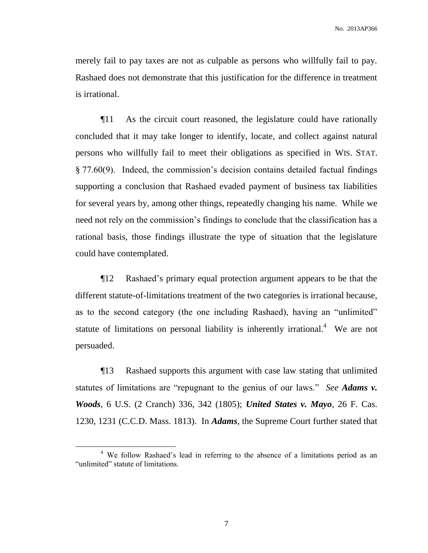merely fail to pay taxes are not as culpable as persons who willfully fail to pay. Rashaed does not demonstrate that this justification for the difference in treatment is irrational.

¶11 As the circuit court reasoned, the legislature could have rationally concluded that it may take longer to identify, locate, and collect against natural persons who willfully fail to meet their obligations as specified in WIS. STAT. § 77.60(9). Indeed, the commission's decision contains detailed factual findings supporting a conclusion that Rashaed evaded payment of business tax liabilities for several years by, among other things, repeatedly changing his name. While we need not rely on the commission's findings to conclude that the classification has a rational basis, those findings illustrate the type of situation that the legislature could have contemplated.

¶12 Rashaed's primary equal protection argument appears to be that the different statute-of-limitations treatment of the two categories is irrational because, as to the second category (the one including Rashaed), having an "unlimited" statute of limitations on personal liability is inherently irrational.<sup>4</sup> We are not persuaded.

¶13 Rashaed supports this argument with case law stating that unlimited statutes of limitations are "repugnant to the genius of our laws." *See Adams v. Woods*, 6 U.S. (2 Cranch) 336, 342 (1805); *United States v. Mayo*, 26 F. Cas. 1230, 1231 (C.C.D. Mass. 1813). In *Adams*, the Supreme Court further stated that

<sup>&</sup>lt;sup>4</sup> We follow Rashaed's lead in referring to the absence of a limitations period as an "unlimited" statute of limitations.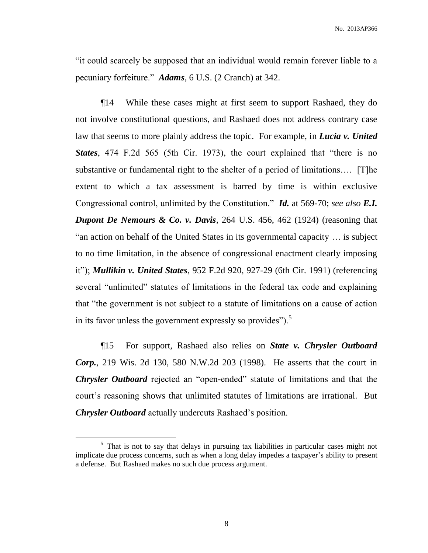"it could scarcely be supposed that an individual would remain forever liable to a pecuniary forfeiture." *Adams*, 6 U.S. (2 Cranch) at 342.

¶14 While these cases might at first seem to support Rashaed, they do not involve constitutional questions, and Rashaed does not address contrary case law that seems to more plainly address the topic. For example, in *Lucia v. United States*, 474 F.2d 565 (5th Cir. 1973), the court explained that "there is no substantive or fundamental right to the shelter of a period of limitations…. [T]he extent to which a tax assessment is barred by time is within exclusive Congressional control, unlimited by the Constitution." *Id.* at 569-70; *see also E.I. Dupont De Nemours & Co. v. Davis*, 264 U.S. 456, 462 (1924) (reasoning that "an action on behalf of the United States in its governmental capacity … is subject to no time limitation, in the absence of congressional enactment clearly imposing it"); *Mullikin v. United States*, 952 F.2d 920, 927-29 (6th Cir. 1991) (referencing several "unlimited" statutes of limitations in the federal tax code and explaining that "the government is not subject to a statute of limitations on a cause of action in its favor unless the government expressly so provides"). $5$ 

¶15 For support, Rashaed also relies on *State v. Chrysler Outboard Corp.*, 219 Wis. 2d 130, 580 N.W.2d 203 (1998). He asserts that the court in *Chrysler Outboard* rejected an "open-ended" statute of limitations and that the court's reasoning shows that unlimited statutes of limitations are irrational. But *Chrysler Outboard* actually undercuts Rashaed's position.

<sup>&</sup>lt;sup>5</sup> That is not to say that delays in pursuing tax liabilities in particular cases might not implicate due process concerns, such as when a long delay impedes a taxpayer's ability to present a defense. But Rashaed makes no such due process argument.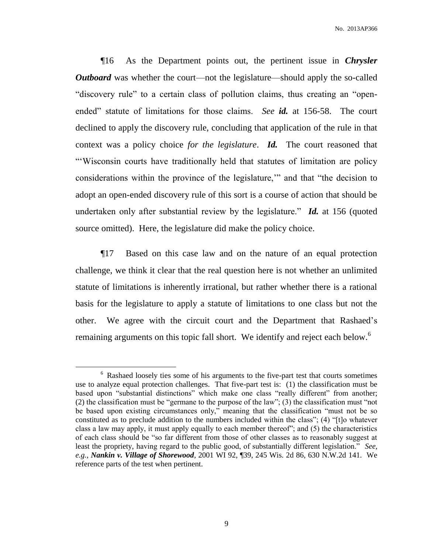¶16 As the Department points out, the pertinent issue in *Chrysler Outboard* was whether the court—not the legislature—should apply the so-called "discovery rule" to a certain class of pollution claims, thus creating an "openended" statute of limitations for those claims. *See id.* at 156-58. The court declined to apply the discovery rule, concluding that application of the rule in that context was a policy choice *for the legislature*. *Id.* The court reasoned that "'Wisconsin courts have traditionally held that statutes of limitation are policy considerations within the province of the legislature,'" and that "the decision to adopt an open-ended discovery rule of this sort is a course of action that should be undertaken only after substantial review by the legislature." *Id.* at 156 (quoted source omitted). Here, the legislature did make the policy choice.

¶17 Based on this case law and on the nature of an equal protection challenge, we think it clear that the real question here is not whether an unlimited statute of limitations is inherently irrational, but rather whether there is a rational basis for the legislature to apply a statute of limitations to one class but not the other. We agree with the circuit court and the Department that Rashaed's remaining arguments on this topic fall short. We identify and reject each below.<sup>6</sup>

<sup>&</sup>lt;sup>6</sup> Rashaed loosely ties some of his arguments to the five-part test that courts sometimes use to analyze equal protection challenges. That five-part test is: (1) the classification must be based upon "substantial distinctions" which make one class "really different" from another; (2) the classification must be "germane to the purpose of the law"; (3) the classification must "not be based upon existing circumstances only," meaning that the classification "must not be so constituted as to preclude addition to the numbers included within the class"; (4) "[t]o whatever class a law may apply, it must apply equally to each member thereof"; and (5) the characteristics of each class should be "so far different from those of other classes as to reasonably suggest at least the propriety, having regard to the public good, of substantially different legislation." *See, e.g.*, *Nankin v. Village of Shorewood*, 2001 WI 92, ¶39, 245 Wis. 2d 86, 630 N.W.2d 141. We reference parts of the test when pertinent.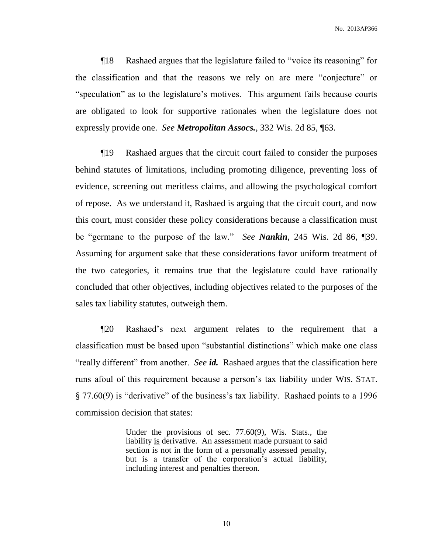No. 2013AP366

¶18 Rashaed argues that the legislature failed to "voice its reasoning" for the classification and that the reasons we rely on are mere "conjecture" or "speculation" as to the legislature's motives. This argument fails because courts are obligated to look for supportive rationales when the legislature does not expressly provide one. *See Metropolitan Assocs.*, 332 Wis. 2d 85, ¶63.

¶19 Rashaed argues that the circuit court failed to consider the purposes behind statutes of limitations, including promoting diligence, preventing loss of evidence, screening out meritless claims, and allowing the psychological comfort of repose. As we understand it, Rashaed is arguing that the circuit court, and now this court, must consider these policy considerations because a classification must be "germane to the purpose of the law." *See Nankin*, 245 Wis. 2d 86, ¶39. Assuming for argument sake that these considerations favor uniform treatment of the two categories, it remains true that the legislature could have rationally concluded that other objectives, including objectives related to the purposes of the sales tax liability statutes, outweigh them.

¶20 Rashaed's next argument relates to the requirement that a classification must be based upon "substantial distinctions" which make one class "really different" from another. *See id.* Rashaed argues that the classification here runs afoul of this requirement because a person's tax liability under WIS. STAT. § 77.60(9) is "derivative" of the business's tax liability. Rashaed points to a 1996 commission decision that states:

> Under the provisions of sec. 77.60(9), Wis. Stats., the liability is derivative. An assessment made pursuant to said section is not in the form of a personally assessed penalty, but is a transfer of the corporation's actual liability, including interest and penalties thereon.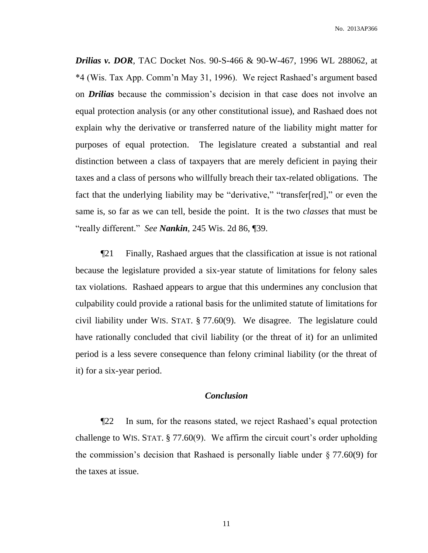*Drilias v. DOR*, TAC Docket Nos. 90-S-466 & 90-W-467, 1996 WL 288062, at \*4 (Wis. Tax App. Comm'n May 31, 1996). We reject Rashaed's argument based on *Drilias* because the commission's decision in that case does not involve an equal protection analysis (or any other constitutional issue), and Rashaed does not explain why the derivative or transferred nature of the liability might matter for purposes of equal protection. The legislature created a substantial and real distinction between a class of taxpayers that are merely deficient in paying their taxes and a class of persons who willfully breach their tax-related obligations. The fact that the underlying liability may be "derivative," "transfer[red]," or even the same is, so far as we can tell, beside the point. It is the two *classes* that must be "really different." *See Nankin*, 245 Wis. 2d 86, ¶39.

¶21 Finally, Rashaed argues that the classification at issue is not rational because the legislature provided a six-year statute of limitations for felony sales tax violations. Rashaed appears to argue that this undermines any conclusion that culpability could provide a rational basis for the unlimited statute of limitations for civil liability under WIS. STAT. § 77.60(9). We disagree. The legislature could have rationally concluded that civil liability (or the threat of it) for an unlimited period is a less severe consequence than felony criminal liability (or the threat of it) for a six-year period.

#### *Conclusion*

¶22 In sum, for the reasons stated, we reject Rashaed's equal protection challenge to WIS. STAT. § 77.60(9). We affirm the circuit court's order upholding the commission's decision that Rashaed is personally liable under § 77.60(9) for the taxes at issue.